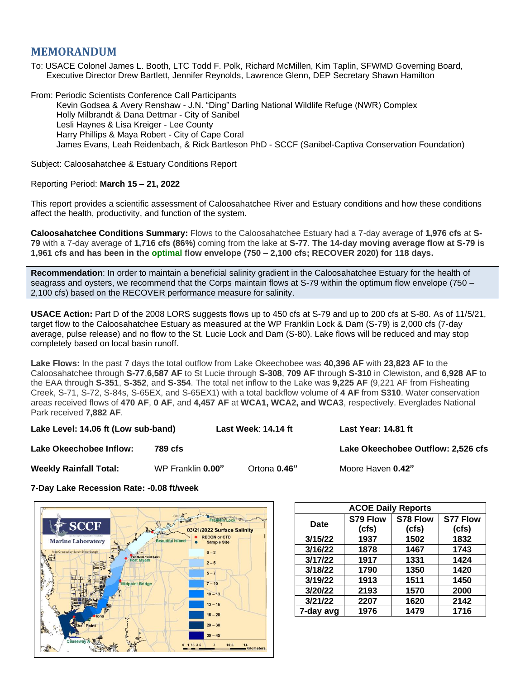## **MEMORANDUM**

To: USACE Colonel James L. Booth, LTC Todd F. Polk, Richard McMillen, Kim Taplin, SFWMD Governing Board, Executive Director Drew Bartlett, Jennifer Reynolds, Lawrence Glenn, DEP Secretary Shawn Hamilton

From: Periodic Scientists Conference Call Participants Kevin Godsea & Avery Renshaw - J.N. "Ding" Darling National Wildlife Refuge (NWR) Complex Holly Milbrandt & Dana Dettmar - City of Sanibel Lesli Haynes & Lisa Kreiger - Lee County Harry Phillips & Maya Robert - City of Cape Coral James Evans, Leah Reidenbach, & Rick Bartleson PhD - SCCF (Sanibel-Captiva Conservation Foundation)

Subject: Caloosahatchee & Estuary Conditions Report

## Reporting Period: **March 15 – 21, 2022**

This report provides a scientific assessment of Caloosahatchee River and Estuary conditions and how these conditions affect the health, productivity, and function of the system.

**Caloosahatchee Conditions Summary:** Flows to the Caloosahatchee Estuary had a 7-day average of **1,976 cfs** at **S-79** with a 7-day average of **1,716 cfs (86%)** coming from the lake at **S-77**. **The 14-day moving average flow at S-79 is 1,961 cfs and has been in the optimal flow envelope (750 – 2,100 cfs; RECOVER 2020) for 118 days.**

**Recommendation**: In order to maintain a beneficial salinity gradient in the Caloosahatchee Estuary for the health of seagrass and oysters, we recommend that the Corps maintain flows at S-79 within the optimum flow envelope (750 – 2,100 cfs) based on the RECOVER performance measure for salinity.

**USACE Action:** Part D of the 2008 LORS suggests flows up to 450 cfs at S-79 and up to 200 cfs at S-80. As of 11/5/21, target flow to the Caloosahatchee Estuary as measured at the WP Franklin Lock & Dam (S-79) is 2,000 cfs (7-day average, pulse release) and no flow to the St. Lucie Lock and Dam (S-80). Lake flows will be reduced and may stop completely based on local basin runoff.

**Lake Flows:** In the past 7 days the total outflow from Lake Okeechobee was **40,396 AF** with **23,823 AF** to the Caloosahatchee through **S-77**,**6,587 AF** to St Lucie through **S-308**, **709 AF** through **S-310** in Clewiston, and **6,928 AF** to the EAA through **S-351**, **S-352**, and **S-354**. The total net inflow to the Lake was **9,225 AF** (9,221 AF from Fisheating Creek, S-71, S-72, S-84s, S-65EX, and S-65EX1) with a total backflow volume of **4 AF** from **S310**. Water conservation areas received flows of **470 AF**, **0 AF**, and **4,457 AF** at **WCA1, WCA2, and WCA3**, respectively. Everglades National Park received **7,882 AF**.

**Lake Level: 14.06 ft (Low sub-band) Last Week**: **14.14 ft Last Year: 14.81 ft**

**Lake Okeechobee Inflow: 3.526 rfs**  $\bullet$  **Lake Okeechobee Outflow: 2,526 cfs** 

**Weekly Rainfall Total:** WP Franklin **0.00"** Ortona **0.46"** Moore Haven **0.42"**

**7-Day Lake Recession Rate: -0.08 ft/week**



| <b>ACOE Daily Reports</b> |          |          |          |  |  |  |
|---------------------------|----------|----------|----------|--|--|--|
| <b>Date</b>               | S79 Flow | S78 Flow | S77 Flow |  |  |  |
|                           | (cfs)    | (cfs)    | (cfs)    |  |  |  |
| 3/15/22                   | 1937     | 1502     | 1832     |  |  |  |
| 3/16/22                   | 1878     | 1467     | 1743     |  |  |  |
| 3/17/22                   | 1917     | 1331     | 1424     |  |  |  |
| 3/18/22                   | 1790     | 1350     | 1420     |  |  |  |
| 3/19/22                   | 1913     | 1511     | 1450     |  |  |  |
| 3/20/22                   | 2193     | 1570     | 2000     |  |  |  |
| 3/21/22                   | 2207     | 1620     | 2142     |  |  |  |
| 7-day avg                 | 1976     | 1479     | 1716     |  |  |  |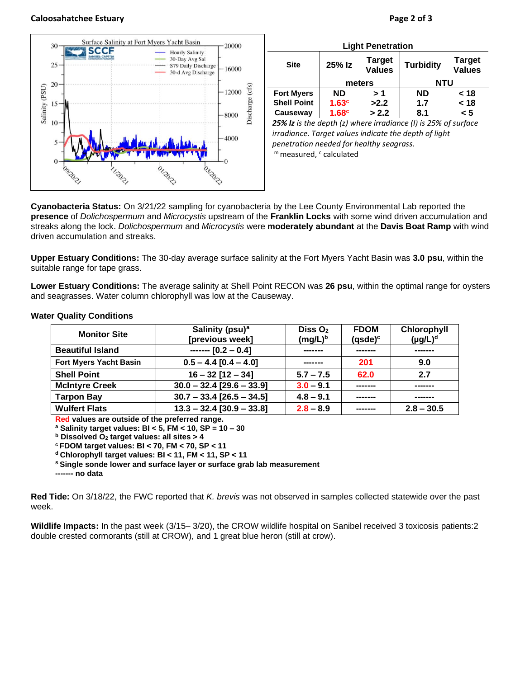## **Caloosahatchee Estuary Page 2 of 3**







| <b>Light Penetration</b>                                       |                   |                                |                  |                                |  |  |  |
|----------------------------------------------------------------|-------------------|--------------------------------|------------------|--------------------------------|--|--|--|
| <b>Site</b>                                                    | 25% Iz            | <b>Target</b><br><b>Values</b> | <b>Turbidity</b> | <b>Target</b><br><b>Values</b> |  |  |  |
|                                                                | meters            |                                | NTU              |                                |  |  |  |
| <b>Fort Myers</b>                                              | <b>ND</b>         | > 1                            | <b>ND</b>        | < 18                           |  |  |  |
| <b>Shell Point</b>                                             | 1.63 <sup>c</sup> | >2.2                           | 1.7              | < 18                           |  |  |  |
| Causeway                                                       | 1.68 <sup>c</sup> | > 2.2                          | 8.1              | < 5                            |  |  |  |
| 25% Iz is the depth (z) where irradiance (I) is 25% of surface |                   |                                |                  |                                |  |  |  |

*irradiance. Target values indicate the depth of light penetration needed for healthy seagrass.* m measured, c calculated

**Cyanobacteria Status:** On 3/21/22 sampling for cyanobacteria by the Lee County Environmental Lab reported the **presence** of *Dolichospermum* and *Microcystis* upstream of the **Franklin Locks** with some wind driven accumulation and streaks along the lock. *Dolichospermum* and *Microcystis* were **moderately abundant** at the **Davis Boat Ramp** with wind driven accumulation and streaks.

**Upper Estuary Conditions:** The 30-day average surface salinity at the Fort Myers Yacht Basin was **3.0 psu**, within the suitable range for tape grass.

**Lower Estuary Conditions:** The average salinity at Shell Point RECON was **26 psu**, within the optimal range for oysters and seagrasses. Water column chlorophyll was low at the Causeway.

| <b>Monitor Site</b>           | Salinity (psu) <sup>a</sup><br>[previous week] | DisS O <sub>2</sub><br>$(mg/L)^b$ | <b>FDOM</b><br>$(gsde)^c$ | Chlorophyll<br>$(\mu g/L)^d$ |
|-------------------------------|------------------------------------------------|-----------------------------------|---------------------------|------------------------------|
| <b>Beautiful Island</b>       | $--- [0.2 - 0.4]$<br>-------                   |                                   | -------                   |                              |
| <b>Fort Myers Yacht Basin</b> | $0.5 - 4.4$ [0.4 - 4.0]                        | ------                            | 201                       | 9.0                          |
| <b>Shell Point</b>            | $16 - 32$ [12 - 34]                            | $5.7 - 7.5$                       | 62.0                      | 2.7                          |
| <b>McIntyre Creek</b>         | $30.0 - 32.4$ [29.6 - 33.9]                    | $3.0 - 9.1$                       | -------                   | -------                      |
| <b>Tarpon Bay</b>             | $30.7 - 33.4$ [26.5 - 34.5]                    | $4.8 - 9.1$                       | -------                   |                              |
| <b>Wulfert Flats</b>          | $13.3 - 32.4$ [30.9 - 33.8]                    | $2.8 - 8.9$                       |                           | $2.8 - 30.5$                 |

## **Water Quality Conditions**

**Red values are outside of the preferred range.**

**<sup>a</sup> Salinity target values: BI < 5, FM < 10, SP = 10 – 30**

**<sup>b</sup> Dissolved O<sup>2</sup> target values: all sites > 4**

**<sup>c</sup> FDOM target values: BI < 70, FM < 70, SP < 11**

**<sup>d</sup> Chlorophyll target values: BI < 11, FM < 11, SP < 11** 

**<sup>s</sup> Single sonde lower and surface layer or surface grab lab measurement**

**------- no data**

**Red Tide:** On 3/18/22, the FWC reported that *K. brevis* was not observed in samples collected statewide over the past week.

**Wildlife Impacts:** In the past week (3/15– 3/20), the CROW wildlife hospital on Sanibel received 3 toxicosis patients:2 double crested cormorants (still at CROW), and 1 great blue heron (still at crow).